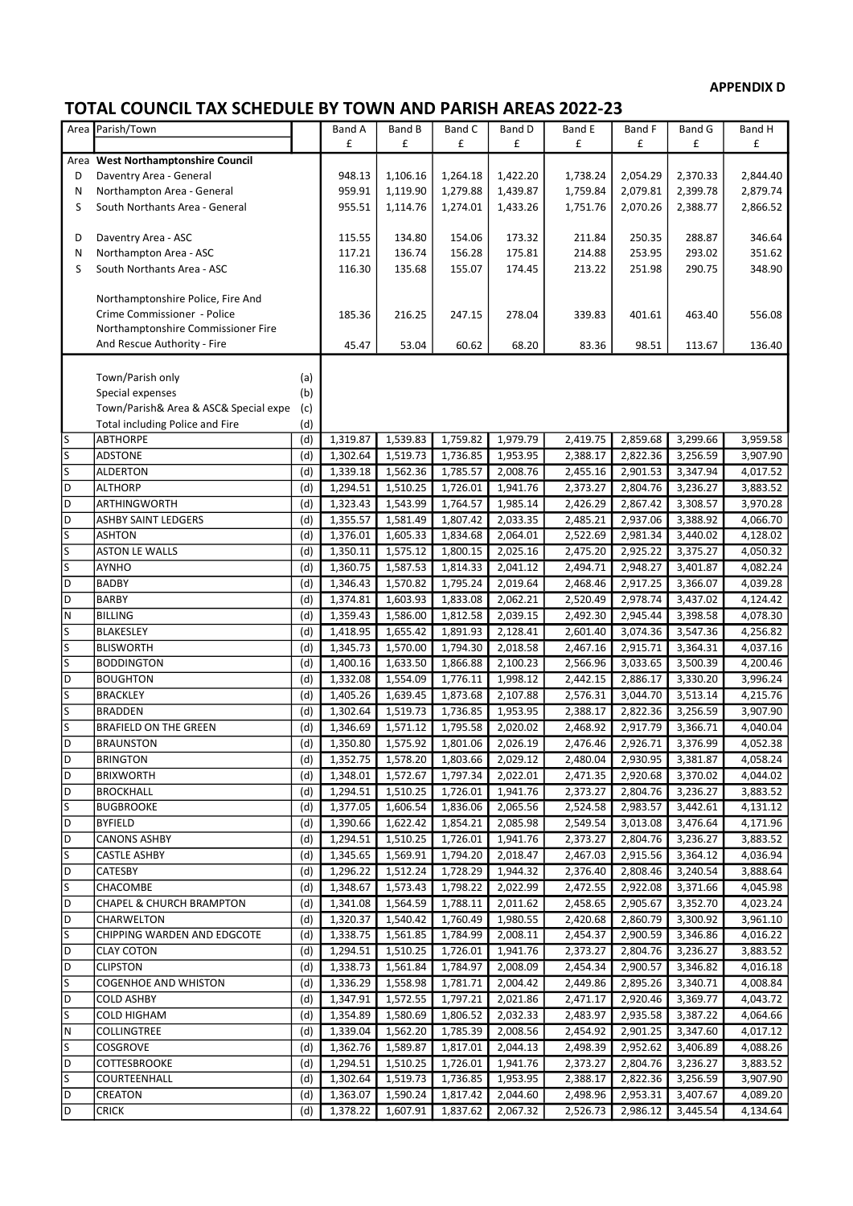## APPENDIX D

## TOTAL COUNCIL TAX SCHEDULE BY TOWN AND PARISH AREAS 2022-23

| Area                    | Parish/Town                           |     | Band A   | Band B   | Band C   | Band D   | <b>Band E</b> | Band F   | <b>Band G</b> | Band H   |
|-------------------------|---------------------------------------|-----|----------|----------|----------|----------|---------------|----------|---------------|----------|
|                         |                                       |     | £        | £        | £        | £        | £             | £        | £             | £        |
|                         | Area West Northamptonshire Council    |     |          |          |          |          |               |          |               |          |
| D                       | Daventry Area - General               |     | 948.13   | 1,106.16 | 1,264.18 | 1,422.20 | 1,738.24      | 2,054.29 | 2,370.33      | 2,844.40 |
| N                       | Northampton Area - General            |     | 959.91   | 1,119.90 | 1,279.88 | 1,439.87 | 1,759.84      | 2,079.81 | 2,399.78      | 2,879.74 |
| S                       | South Northants Area - General        |     | 955.51   | 1,114.76 | 1,274.01 | 1,433.26 | 1,751.76      | 2,070.26 | 2,388.77      | 2,866.52 |
|                         |                                       |     |          |          |          |          |               |          |               |          |
| D                       | Daventry Area - ASC                   |     | 115.55   | 134.80   | 154.06   | 173.32   | 211.84        | 250.35   | 288.87        | 346.64   |
| N                       | Northampton Area - ASC                |     | 117.21   | 136.74   | 156.28   | 175.81   | 214.88        | 253.95   | 293.02        | 351.62   |
| S                       | South Northants Area - ASC            |     | 116.30   | 135.68   | 155.07   | 174.45   | 213.22        | 251.98   | 290.75        | 348.90   |
|                         |                                       |     |          |          |          |          |               |          |               |          |
|                         | Northamptonshire Police, Fire And     |     |          |          |          |          |               |          |               |          |
|                         | Crime Commissioner - Police           |     | 185.36   | 216.25   | 247.15   | 278.04   | 339.83        | 401.61   | 463.40        | 556.08   |
|                         | Northamptonshire Commissioner Fire    |     |          |          |          |          |               |          |               |          |
|                         | And Rescue Authority - Fire           |     | 45.47    | 53.04    | 60.62    | 68.20    | 83.36         | 98.51    | 113.67        | 136.40   |
|                         |                                       |     |          |          |          |          |               |          |               |          |
|                         | Town/Parish only                      | (a) |          |          |          |          |               |          |               |          |
|                         | Special expenses                      | (b) |          |          |          |          |               |          |               |          |
|                         | Town/Parish& Area & ASC& Special expe | (c) |          |          |          |          |               |          |               |          |
|                         | Total including Police and Fire       | (d) |          |          |          |          |               |          |               |          |
| ls                      | <b>ABTHORPE</b>                       | (d) | 1,319.87 | 1,539.83 | 1,759.82 | 1,979.79 | 2,419.75      | 2,859.68 | 3,299.66      | 3,959.58 |
| $\overline{\mathsf{s}}$ | ADSTONE                               | (d) | 1,302.64 | 1,519.73 | 1,736.85 | 1,953.95 | 2.388.17      | 2,822.36 | 3,256.59      | 3,907.90 |
| $\vert$ S               | <b>ALDERTON</b>                       | (d) | 1,339.18 | 1,562.36 | 1,785.57 | 2,008.76 | 2,455.16      | 2,901.53 | 3,347.94      | 4,017.52 |
| D                       | <b>ALTHORP</b>                        | (d) | 1,294.51 | 1,510.25 | 1,726.01 | 1,941.76 | 2,373.27      | 2,804.76 | 3,236.27      | 3,883.52 |
| D                       | ARTHINGWORTH                          | (d) | 1,323.43 | 1,543.99 | 1,764.57 | 1,985.14 | 2,426.29      | 2,867.42 | 3,308.57      | 3,970.28 |
| D                       | <b>ASHBY SAINT LEDGERS</b>            | (d) | 1,355.57 | 1,581.49 | 1,807.42 | 2,033.35 | 2,485.21      | 2,937.06 | 3,388.92      | 4,066.70 |
| S                       | <b>ASHTON</b>                         | (d) | 1,376.01 | 1,605.33 | 1,834.68 | 2,064.01 | 2,522.69      | 2,981.34 | 3,440.02      | 4,128.02 |
| $\overline{\mathsf{s}}$ | <b>ASTON LE WALLS</b>                 | (d) | 1,350.11 | 1,575.12 | 1,800.15 | 2,025.16 | 2,475.20      | 2,925.22 | 3,375.27      | 4,050.32 |
| $\overline{\mathsf{s}}$ | <b>AYNHO</b>                          | (d) | 1,360.75 | 1,587.53 | 1,814.33 | 2,041.12 | 2,494.71      | 2,948.27 | 3,401.87      | 4,082.24 |
| D                       | <b>BADBY</b>                          | (d) | 1,346.43 | 1,570.82 | 1,795.24 | 2,019.64 | 2,468.46      | 2,917.25 | 3,366.07      | 4,039.28 |
| D                       | <b>BARBY</b>                          | (d) | 1,374.81 | 1,603.93 | 1,833.08 | 2,062.21 | 2,520.49      | 2,978.74 | 3,437.02      | 4,124.42 |
| N                       | <b>BILLING</b>                        | (d) | 1,359.43 | 1,586.00 | 1,812.58 | 2,039.15 | 2,492.30      | 2,945.44 | 3,398.58      | 4,078.30 |
| S                       | <b>BLAKESLEY</b>                      | (d) | 1,418.95 | 1,655.42 | 1,891.93 | 2,128.41 | 2,601.40      | 3,074.36 | 3,547.36      | 4,256.82 |
| $\overline{\mathsf{s}}$ | <b>BLISWORTH</b>                      | (d) | 1,345.73 | 1,570.00 | 1,794.30 | 2,018.58 | 2,467.16      | 2,915.71 | 3,364.31      | 4,037.16 |
| S                       | <b>BODDINGTON</b>                     | (d) | 1,400.16 | 1,633.50 | 1,866.88 | 2,100.23 | 2,566.96      | 3,033.65 | 3,500.39      | 4,200.46 |
| D                       | <b>BOUGHTON</b>                       | (d) | 1,332.08 | 1,554.09 | 1,776.11 | 1,998.12 | 2,442.15      | 2,886.17 | 3,330.20      | 3,996.24 |
| S                       | <b>BRACKLEY</b>                       | (d) | 1,405.26 | 1,639.45 | 1,873.68 | 2,107.88 | 2,576.31      | 3,044.70 | 3,513.14      | 4,215.76 |
| $\overline{\mathsf{s}}$ | <b>BRADDEN</b>                        | (d) | 1,302.64 | 1,519.73 | 1,736.85 | 1,953.95 | 2,388.17      | 2,822.36 | 3,256.59      | 3,907.90 |
| S                       | <b>BRAFIELD ON THE GREEN</b>          | (d) | 1,346.69 | 1,571.12 | 1,795.58 | 2,020.02 | 2,468.92      | 2,917.79 | 3,366.71      | 4,040.04 |
| D                       | <b>BRAUNSTON</b>                      | (d) | 1,350.80 | 1,575.92 | 1,801.06 | 2,026.19 | 2,476.46      | 2,926.71 | 3,376.99      | 4,052.38 |
| D                       | <b>BRINGTON</b>                       | (d) | 1,352.75 | 1,578.20 | 1,803.66 | 2,029.12 | 2,480.04      | 2,930.95 | 3,381.87      | 4,058.24 |
| D                       | <b>BRIXWORTH</b>                      | (d) | 1,348.01 | 1,572.67 | 1,797.34 | 2,022.01 | 2,471.35      | 2,920.68 | 3,370.02      | 4,044.02 |
| D                       | <b>BROCKHALL</b>                      | (d) | 1,294.51 | 1,510.25 | 1,726.01 | 1,941.76 | 2,373.27      | 2,804.76 | 3,236.27      | 3,883.52 |
| ls                      | <b>BUGBROOKE</b>                      | (d) | 1,377.05 | 1,606.54 | 1,836.06 | 2,065.56 | 2,524.58      | 2,983.57 | 3,442.61      | 4,131.12 |
| D                       | <b>BYFIELD</b>                        | (d) | 1,390.66 | 1,622.42 | 1,854.21 | 2,085.98 | 2,549.54      | 3,013.08 | 3,476.64      | 4,171.96 |
| D                       | <b>CANONS ASHBY</b>                   | (d) | 1,294.51 | 1,510.25 | 1,726.01 | 1,941.76 | 2,373.27      | 2,804.76 | 3,236.27      | 3,883.52 |
| S                       | <b>CASTLE ASHBY</b>                   | (d) | 1,345.65 | 1,569.91 | 1,794.20 | 2,018.47 | 2,467.03      | 2,915.56 | 3,364.12      | 4,036.94 |
| D                       | CATESBY                               | (d) | 1,296.22 | 1,512.24 | 1,728.29 | 1,944.32 | 2,376.40      | 2,808.46 | 3,240.54      | 3,888.64 |
| S                       | CHACOMBE                              | (d) | 1,348.67 | 1,573.43 | 1,798.22 | 2,022.99 | 2,472.55      | 2,922.08 | 3,371.66      | 4,045.98 |
| l D                     | <b>CHAPEL &amp; CHURCH BRAMPTON</b>   | (d) | 1,341.08 | 1,564.59 | 1,788.11 | 2,011.62 | 2,458.65      | 2,905.67 | 3,352.70      | 4,023.24 |
| D                       | <b>CHARWELTON</b>                     | (d) | 1,320.37 | 1,540.42 | 1,760.49 | 1,980.55 | 2,420.68      | 2,860.79 | 3,300.92      | 3,961.10 |
| ls                      | CHIPPING WARDEN AND EDGCOTE           | (d) | 1,338.75 | 1,561.85 | 1,784.99 | 2,008.11 | 2,454.37      | 2,900.59 | 3,346.86      | 4,016.22 |
| D                       | <b>CLAY COTON</b>                     | (d) | 1,294.51 | 1,510.25 | 1,726.01 | 1,941.76 | 2,373.27      | 2,804.76 | 3,236.27      | 3,883.52 |
| D                       | <b>CLIPSTON</b>                       | (d) | 1,338.73 | 1,561.84 | 1,784.97 | 2,008.09 | 2,454.34      | 2,900.57 | 3,346.82      | 4,016.18 |
| ls                      | COGENHOE AND WHISTON                  | (d) | 1,336.29 | 1,558.98 | 1,781.71 | 2,004.42 | 2,449.86      | 2,895.26 | 3,340.71      | 4,008.84 |
| D                       | <b>COLD ASHBY</b>                     | (d) | 1,347.91 | 1,572.55 | 1,797.21 | 2,021.86 | 2,471.17      | 2,920.46 | 3,369.77      | 4,043.72 |
| ls                      | COLD HIGHAM                           | (d) | 1,354.89 | 1,580.69 | 1,806.52 | 2,032.33 | 2,483.97      | 2,935.58 | 3,387.22      | 4,064.66 |
| N                       | COLLINGTREE                           | (d) | 1,339.04 | 1,562.20 | 1,785.39 | 2,008.56 | 2,454.92      | 2,901.25 | 3,347.60      | 4,017.12 |
| S                       | COSGROVE                              | (d) | 1,362.76 | 1,589.87 | 1,817.01 | 2,044.13 | 2,498.39      | 2,952.62 | 3,406.89      | 4,088.26 |
| D                       | COTTESBROOKE                          | (d) | 1,294.51 | 1,510.25 | 1,726.01 | 1,941.76 | 2,373.27      | 2,804.76 | 3,236.27      | 3,883.52 |
| ls                      | COURTEENHALL                          | (d) | 1,302.64 | 1,519.73 | 1,736.85 | 1,953.95 | 2,388.17      | 2,822.36 | 3,256.59      | 3,907.90 |
| D                       | CREATON                               | (d) | 1,363.07 | 1,590.24 | 1,817.42 | 2,044.60 | 2,498.96      | 2,953.31 | 3,407.67      | 4,089.20 |
| l D                     | <b>CRICK</b>                          | (d) | 1,378.22 | 1,607.91 | 1,837.62 | 2,067.32 | 2,526.73      | 2,986.12 | 3,445.54      | 4,134.64 |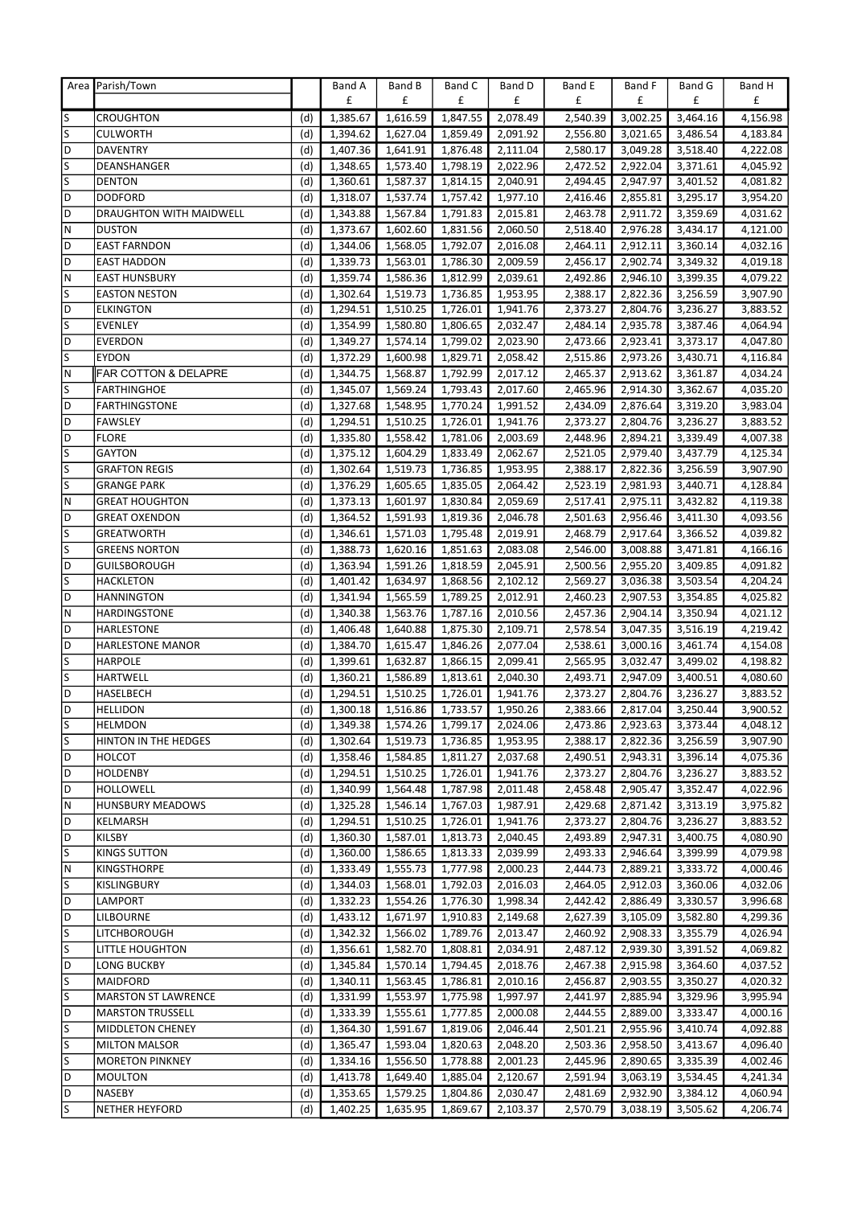|   | Area Parish/Town                |     | Band A   | Band B   | Band C   | Band D   | Band E   | Band F   | Band G   | Band H               |
|---|---------------------------------|-----|----------|----------|----------|----------|----------|----------|----------|----------------------|
|   |                                 |     | £        | £        | £        | £        | £        | £        | £        | £                    |
| S | <b>CROUGHTON</b>                | (d) | 1,385.67 | 1,616.59 | 1,847.55 | 2,078.49 | 2,540.39 | 3,002.25 | 3,464.16 | 4,156.98             |
| S | <b>CULWORTH</b>                 | (d) | 1,394.62 | 1,627.04 | 1,859.49 | 2,091.92 | 2,556.80 | 3,021.65 | 3,486.54 | 4,183.84             |
| D | <b>DAVENTRY</b>                 | (d) | 1,407.36 | 1,641.91 | 1,876.48 | 2,111.04 | 2,580.17 | 3,049.28 | 3,518.40 | 4,222.08             |
| S | DEANSHANGER                     | (d) | 1,348.65 | 1,573.40 | 1,798.19 | 2,022.96 | 2,472.52 | 2,922.04 | 3,371.61 | 4,045.92             |
| S | <b>DENTON</b>                   | (d) | 1,360.61 | 1,587.37 | 1,814.15 | 2,040.91 | 2,494.45 | 2,947.97 | 3,401.52 | 4,081.82             |
| D | <b>DODFORD</b>                  | (d) | 1,318.07 | 1,537.74 | 1,757.42 | 1,977.10 | 2,416.46 | 2,855.81 | 3,295.17 | 3,954.20             |
| D | DRAUGHTON WITH MAIDWELL         | (d) | 1,343.88 | 1,567.84 | 1,791.83 | 2,015.81 | 2,463.78 | 2,911.72 | 3,359.69 | 4,031.62             |
| N | <b>DUSTON</b>                   | (d) | 1,373.67 | 1,602.60 | 1,831.56 | 2,060.50 | 2,518.40 | 2,976.28 | 3,434.17 | 4,121.00             |
| D | <b>EAST FARNDON</b>             | (d) | 1,344.06 | 1,568.05 | 1,792.07 | 2,016.08 | 2,464.11 | 2,912.11 | 3,360.14 | 4,032.16             |
| D | <b>EAST HADDON</b>              | (d) | 1,339.73 | 1,563.01 | 1,786.30 | 2,009.59 | 2,456.17 | 2,902.74 | 3,349.32 | 4,019.18             |
| Ν | <b>EAST HUNSBURY</b>            | (d) | 1,359.74 | 1,586.36 | 1,812.99 | 2,039.61 | 2,492.86 | 2,946.10 | 3,399.35 | 4,079.22             |
| S | <b>EASTON NESTON</b>            | (d) | 1,302.64 | 1,519.73 | 1,736.85 | 1,953.95 | 2,388.17 | 2,822.36 | 3,256.59 | 3,907.90             |
| D | <b>ELKINGTON</b>                | (d) | 1,294.51 | 1,510.25 | 1,726.01 | 1,941.76 | 2,373.27 | 2,804.76 | 3,236.27 | 3,883.52             |
| S | <b>EVENLEY</b>                  | (d) | 1,354.99 | 1,580.80 | 1,806.65 | 2,032.47 | 2,484.14 | 2,935.78 | 3,387.46 | 4,064.94             |
| D | <b>EVERDON</b>                  | (d) | 1,349.27 | 1,574.14 | 1,799.02 | 2,023.90 | 2,473.66 | 2,923.41 | 3,373.17 | 4,047.80             |
| S | <b>EYDON</b>                    | (d) | 1,372.29 | 1,600.98 | 1,829.71 | 2,058.42 | 2,515.86 | 2,973.26 | 3,430.71 | 4,116.84             |
| N | <b>FAR COTTON &amp; DELAPRE</b> | (d) | 1,344.75 | 1,568.87 | 1,792.99 | 2,017.12 | 2,465.37 | 2,913.62 | 3,361.87 | 4,034.24             |
| S | <b>FARTHINGHOE</b>              | (d) | 1,345.07 | 1,569.24 | 1,793.43 | 2,017.60 | 2,465.96 | 2,914.30 | 3,362.67 | 4,035.20             |
| D | <b>FARTHINGSTONE</b>            | (d) | 1,327.68 | 1,548.95 | 1,770.24 | 1,991.52 | 2,434.09 | 2,876.64 | 3,319.20 | 3,983.04             |
| D | <b>FAWSLEY</b>                  | (d) | 1,294.51 | 1,510.25 | 1,726.01 | 1,941.76 | 2,373.27 | 2,804.76 | 3,236.27 | 3,883.52             |
| D | <b>FLORE</b>                    | (d) | 1,335.80 | 1,558.42 | 1,781.06 | 2,003.69 | 2,448.96 | 2,894.21 | 3,339.49 | 4,007.38             |
| S | <b>GAYTON</b>                   | (d) | 1,375.12 | 1,604.29 | 1,833.49 | 2,062.67 | 2,521.05 | 2,979.40 | 3,437.79 | 4,125.34             |
| S | <b>GRAFTON REGIS</b>            | (d) | 1,302.64 | 1,519.73 | 1,736.85 | 1,953.95 | 2,388.17 | 2,822.36 | 3,256.59 | 3,907.90             |
| S | <b>GRANGE PARK</b>              | (d) | 1,376.29 | 1,605.65 | 1,835.05 | 2,064.42 | 2,523.19 | 2,981.93 | 3,440.71 | 4,128.84             |
| Ν | <b>GREAT HOUGHTON</b>           |     |          |          |          |          |          |          |          |                      |
| D | <b>GREAT OXENDON</b>            | (d) | 1,373.13 | 1,601.97 | 1,830.84 | 2,059.69 | 2,517.41 | 2,975.11 | 3,432.82 | 4,119.38<br>4,093.56 |
| S |                                 | (d) | 1,364.52 | 1,591.93 | 1,819.36 | 2,046.78 | 2,501.63 | 2,956.46 | 3,411.30 |                      |
| S | <b>GREATWORTH</b>               | (d) | 1,346.61 | 1,571.03 | 1,795.48 | 2,019.91 | 2,468.79 | 2,917.64 | 3,366.52 | 4,039.82             |
| D | <b>GREENS NORTON</b>            | (d) | 1,388.73 | 1,620.16 | 1,851.63 | 2,083.08 | 2,546.00 | 3,008.88 | 3,471.81 | 4,166.16             |
|   | <b>GUILSBOROUGH</b>             | (d) | 1,363.94 | 1,591.26 | 1,818.59 | 2,045.91 | 2,500.56 | 2,955.20 | 3,409.85 | 4,091.82             |
| S | <b>HACKLETON</b>                | (d) | 1,401.42 | 1,634.97 | 1,868.56 | 2,102.12 | 2,569.27 | 3,036.38 | 3,503.54 | 4,204.24             |
| D | <b>HANNINGTON</b>               | (d) | 1,341.94 | 1,565.59 | 1,789.25 | 2,012.91 | 2,460.23 | 2,907.53 | 3,354.85 | 4,025.82             |
| Ν | HARDINGSTONE                    | (d) | 1,340.38 | 1,563.76 | 1,787.16 | 2,010.56 | 2,457.36 | 2,904.14 | 3,350.94 | 4,021.12             |
| D | HARLESTONE                      | (d) | 1,406.48 | 1,640.88 | 1,875.30 | 2,109.71 | 2,578.54 | 3,047.35 | 3,516.19 | 4,219.42             |
| D | <b>HARLESTONE MANOR</b>         | (d) | 1,384.70 | 1,615.47 | 1,846.26 | 2,077.04 | 2,538.61 | 3,000.16 | 3,461.74 | 4,154.08             |
| S | <b>HARPOLE</b>                  | (d) | 1,399.61 | 1,632.87 | 1,866.15 | 2,099.41 | 2,565.95 | 3,032.47 | 3,499.02 | 4,198.82             |
| S | <b>HARTWELL</b>                 | (d) | 1,360.21 | 1,586.89 | 1,813.61 | 2,040.30 | 2,493.71 | 2,947.09 | 3,400.51 | 4,080.60             |
| D | HASELBECH                       | (d) | 1,294.51 | 1,510.25 | 1,726.01 | 1,941.76 | 2,373.27 | 2,804.76 | 3,236.27 | 3,883.52             |
| D | <b>HELLIDON</b>                 | (d) | 1,300.18 | 1,516.86 | 1,733.57 | 1,950.26 | 2,383.66 | 2,817.04 | 3,250.44 | 3,900.52             |
| S | <b>HELMDON</b>                  | (d) | 1,349.38 | 1,574.26 | 1,799.17 | 2,024.06 | 2,473.86 | 2,923.63 | 3,373.44 | 4,048.12             |
| S | HINTON IN THE HEDGES            | (d) | 1,302.64 | 1,519.73 | 1,736.85 | 1,953.95 | 2,388.17 | 2,822.36 | 3,256.59 | 3,907.90             |
| D | <b>HOLCOT</b>                   | (d) | 1,358.46 | 1,584.85 | 1,811.27 | 2,037.68 | 2,490.51 | 2,943.31 | 3,396.14 | 4,075.36             |
| D | <b>HOLDENBY</b>                 | (d) | 1,294.51 | 1,510.25 | 1,726.01 | 1,941.76 | 2,373.27 | 2,804.76 | 3,236.27 | 3,883.52             |
| D | <b>HOLLOWELL</b>                | (d) | 1,340.99 | 1,564.48 | 1,787.98 | 2,011.48 | 2,458.48 | 2,905.47 | 3,352.47 | 4,022.96             |
| N | <b>HUNSBURY MEADOWS</b>         | (d) | 1,325.28 | 1,546.14 | 1,767.03 | 1,987.91 | 2,429.68 | 2,871.42 | 3,313.19 | 3,975.82             |
| D | KELMARSH                        | (d) | 1,294.51 | 1,510.25 | 1,726.01 | 1,941.76 | 2,373.27 | 2,804.76 | 3,236.27 | 3,883.52             |
| D | <b>KILSBY</b>                   | (d) | 1,360.30 | 1,587.01 | 1,813.73 | 2,040.45 | 2,493.89 | 2,947.31 | 3,400.75 | 4,080.90             |
| S | <b>KINGS SUTTON</b>             | (d) | 1,360.00 | 1,586.65 | 1,813.33 | 2,039.99 | 2,493.33 | 2,946.64 | 3,399.99 | 4,079.98             |
| Ν | KINGSTHORPE                     | (d) | 1,333.49 | 1,555.73 | 1,777.98 | 2,000.23 | 2,444.73 | 2,889.21 | 3,333.72 | 4,000.46             |
| S | KISLINGBURY                     | (d) | 1,344.03 | 1,568.01 | 1,792.03 | 2,016.03 | 2,464.05 | 2,912.03 | 3,360.06 | 4,032.06             |
| D | LAMPORT                         | (d) | 1,332.23 | 1,554.26 | 1,776.30 | 1,998.34 | 2,442.42 | 2,886.49 | 3,330.57 | 3,996.68             |
| D | <b>LILBOURNE</b>                | (d) | 1,433.12 | 1,671.97 | 1,910.83 | 2,149.68 | 2,627.39 | 3,105.09 | 3,582.80 | 4,299.36             |
| S | LITCHBOROUGH                    | (d) | 1,342.32 | 1,566.02 | 1,789.76 | 2,013.47 | 2,460.92 | 2,908.33 | 3,355.79 | 4,026.94             |
| S | LITTLE HOUGHTON                 | (d) | 1,356.61 | 1,582.70 | 1,808.81 | 2,034.91 | 2,487.12 | 2,939.30 | 3,391.52 | 4,069.82             |
| D | <b>LONG BUCKBY</b>              | (d) | 1,345.84 | 1,570.14 | 1,794.45 | 2,018.76 | 2,467.38 | 2,915.98 | 3,364.60 | 4,037.52             |
| S | MAIDFORD                        | (d) | 1,340.11 | 1,563.45 | 1,786.81 | 2,010.16 | 2,456.87 | 2,903.55 | 3,350.27 | 4,020.32             |
| S | <b>MARSTON ST LAWRENCE</b>      | (d) | 1,331.99 | 1,553.97 | 1,775.98 | 1,997.97 | 2,441.97 | 2,885.94 | 3,329.96 | 3,995.94             |
| D | <b>MARSTON TRUSSELL</b>         | (d) | 1,333.39 | 1,555.61 | 1,777.85 | 2,000.08 | 2,444.55 | 2,889.00 | 3,333.47 | 4,000.16             |
| S | <b>MIDDLETON CHENEY</b>         | (d) | 1,364.30 | 1,591.67 | 1,819.06 | 2,046.44 | 2,501.21 | 2,955.96 | 3,410.74 | 4,092.88             |
| S | <b>MILTON MALSOR</b>            | (d) | 1,365.47 | 1,593.04 | 1,820.63 | 2,048.20 | 2,503.36 | 2,958.50 | 3,413.67 | 4,096.40             |
| S | <b>MORETON PINKNEY</b>          | (d) | 1,334.16 | 1,556.50 | 1,778.88 | 2,001.23 | 2,445.96 | 2,890.65 | 3,335.39 | 4,002.46             |
| D | <b>MOULTON</b>                  | (d) | 1,413.78 | 1,649.40 | 1,885.04 | 2,120.67 | 2,591.94 | 3,063.19 | 3,534.45 | 4,241.34             |
| D | <b>NASEBY</b>                   | (d) | 1,353.65 | 1,579.25 | 1,804.86 | 2,030.47 | 2,481.69 | 2,932.90 | 3,384.12 | 4,060.94             |
| S | <b>NETHER HEYFORD</b>           | (d) | 1,402.25 | 1,635.95 | 1,869.67 | 2,103.37 | 2,570.79 | 3,038.19 | 3,505.62 | 4,206.74             |